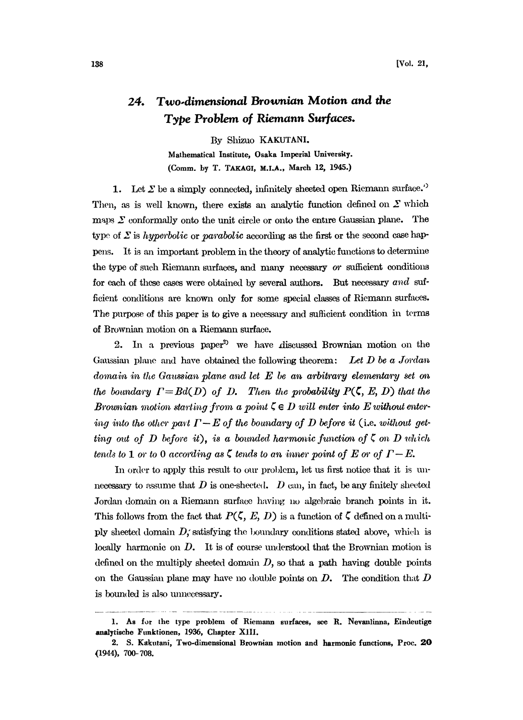## 24. Two.dimensional Brownian Motion and the Type Problem of Riemann Surfaces.

By Shizuo KAKUTANI. Mathematical Institute, Osaka Imperial University. (Comm. by T. TAKAGI, M.I.A., March 12, 1945.)

1. Let  $\Sigma$  be a simply connected, infinitely sheeted open Riemann surface.'<sup>)</sup> Then, as is well known, there exists an analytic function defined on  $\Sigma$  which maps  $\Sigma$  conformally onto the unit circle or onto the entire Gaussian plane. The type of  $\Sigma$  is hyperbolic or parabolic according as the first or the second case happens. It is an important problem in the theory of analytic functions to determine the type of such Riemann surfaces, and many necessary or sufficient conditions for each of these cases were obtained by several authors. But necessary and sufficient conditions are known only for some special classes of Riemann surfaces. The purpose of this paper is to give a necessary and sufficient condition in terms of Brownian motion on a Riemann surface.

2. In a previous paper<sup>2</sup> we have discussed Brownian motion on the Gaussian plane and have obtained the following theorem: Let  $D$  be a Jordan domain in the Gaussian plane and let  $E$  be an arbitrary elementary set on the boundary  $\Gamma=Bd(D)$  of D. Then the probability  $P(\zeta, E, D)$  that the Brownian motion starting from a point  $\zeta \in D$  will enter into E without entering into the other part  $\Gamma - E$  of the boundary of D before it (i.e. without getting out of D before it), is a bounded harmonic function of  $\zeta$  on D which tends to 1 or to 0 according as  $\zeta$  tends to an inner point of E or of  $\Gamma - E$ .

In order to apply this result to our problem, let us first notice that it is unnecessary to assume that  $D$  is one-shected.  $D$  can, in fact, be any finitely sheeted Jordan domain on a Riemann surface having no algebraic branch points in it. This follows from the fact that  $P(\zeta, E, D)$  is a function of  $\zeta$  defined on a multiply sheeted domain  $D_i$ ; satisfying the boundary conditions stated above, which is locally harmonic on D. It is of course understood that the Brownian motion is defined on the multiply sheeted domain  $D$ , so that a path having double points on the Gaussian plane may have no double points on  $D$ . The condition that  $D$ is bounded is also unnecessary.

<sup>1.</sup> As for the type problem of Riemann surfaces, see R. Nevanlinna, Eindeutige analytischo Funktionen, 1936, Chapter XlII.

<sup>2.</sup> S. Kakutani, Two-dimensional Brownian motion and harmonic functions, Proc. 20 (1944), 700-708.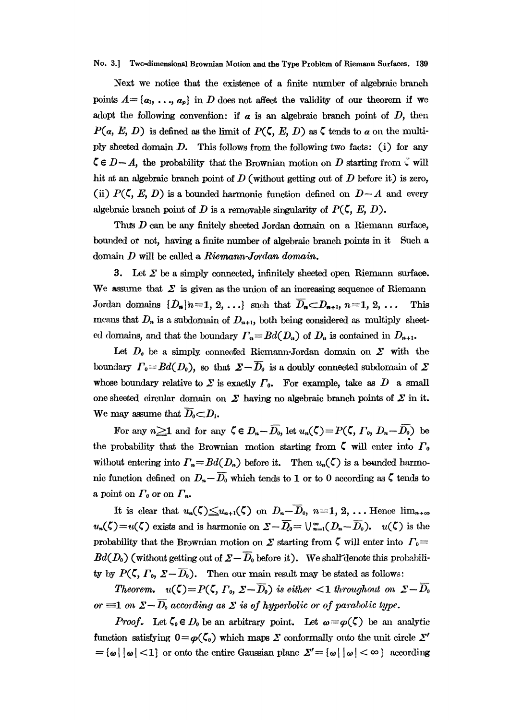## No. 3.] Twc-dimensional Brownian Motion and the Type Problem of Riemann Surfaces. 139

Next we notice that the existence of a finite number of algebraic branch points  $A = \{a_1, \ldots, a_p\}$  in D does not affect the validity of our theorem if we adopt the following convention: if  $\alpha$  is an algebraic branch point of  $D$ , then  $P(a, E, D)$  is defined as the limit of  $P(\zeta, E, D)$  as  $\zeta$  tends to a on the multiply sheeted domain  $D$ . This follows from the following two facts: (i) for any  $\in D-A$ , the probability that the Brownian motion on D starting from  $\zeta$  will hit at an algebraic branch point of  $D$  (without getting out of  $D$  before it) is zero, (ii)  $P(\zeta, E, D)$  is a bounded harmonic function defined on  $D-A$  and every algebraic branch point of D is a removable singularity of  $P(\zeta, E, D)$ .

Thus  $D$  can be any finitely sheeted Jordan domain on a Riemann surface, bounded or not, having a finite number of algebraic branch points in it Such a domain  $D$  will be called a *Riemann-Jordan domain*.

3. Let  $\Sigma$  be a simply connected, infinitely sheeted open Riemann surface. We assume that  $\Sigma$  is given as the union of an increasing sequence of Riemann Jordan domains  $\{D_n\}_{n=1, 2, \ldots}$  such that  $\overline{D}_n \subset D_{n+1}, n=1, 2, \ldots$  This means that  $D_n$  is a subdomain of  $D_{n+1}$ , both being considered as multiply sheeted domains, and that the boundary  $\Gamma_n=Bd(D_n)$  of  $D_n$  is contained in  $D_{n+1}$ .

Let  $D_0$  be a simply connected Riemann-Jordan domain on  $\Sigma$  with the boundary  $\Gamma_0 = Bd(D_0)$ , so that  $\Sigma - \overline{D}_0$  is a doubly connected subdomain of  $\Sigma$ whose boundary relative to  $\Sigma$  is exactly  $\Gamma_0$ . For example, take as D a small one sheeted circular domain on  $\Sigma$  having no algebraic branch points of  $\Sigma$  in it.<br>We may assume that  $\overline{D} \subset D$ We may assume that  $\overline{D}_0 \subset D_1$ .

For any  $n \geq 1$  and for any  $\zeta \in D_n-\overline{D_0}$ , let  $u_n(\zeta)=P(\zeta,\Gamma_0,\ D_n-\overline{D_0})$  be the probability that the Brownian motion starting from  $\zeta$  will enter into  $\Gamma_0$ without entering into  $\Gamma_n = Bd(D_n)$  before it. Then  $u_n(\zeta)$  is a bounded harmonic function defined on  $D_n-\overline{D_0}$  which tends to 1 or to 0 according as  $\zeta$  tends to a point on  $\Gamma_0$  or on  $\Gamma_n$ .

It is clear that  $u_n(\zeta) \leq u_{n+1}(\zeta)$  on  $D_n-\overline{D}_0$ ,  $n=1, 2, \ldots$  Hence  $\lim_{n\to\infty}$  $u_n(\zeta)=u(\zeta)$  exists and is harmonic on  $\Sigma-\overline{D_0}=\bigcup_{n=1}^{\infty}(D_n-\overline{D_0})$ .  $u(\zeta)$  is the probability that the Brownian motion on  $\Sigma$  starting from  $\zeta$  will enter into  $\Gamma_0=$  $Bd(D_0)$  (without getting out of  $\Sigma-\overline{D}_0$  before it). We shalf denote this probability by  $P(\zeta, \Gamma_0, \Sigma - \overline{D}_0)$ . Then our main result may be stated as follows:

Theorem.  $u(\zeta)=P(\zeta, \Gamma_0, \Sigma-\overline{D_0})$  is either  $<1$  throughout on  $\Sigma-\overline{D_0}$ or  $\equiv$ 1 on  $\Sigma - \overline{D}_0$  according as  $\Sigma$  is of hyperbolic or of parabolic type.

*Proof.* Let  $\zeta_0 \in D_0$  be an arbitrary point. Let  $\omega = \varphi(\zeta)$  be an analytic function satisfying  $0 = \varphi(\zeta_0)$  which maps  $\Sigma$  conformally onto the unit circle  $\Sigma'$  $=\{\omega \mid |\omega| < 1\}$  or onto the entire Gaussian plane  $\Sigma' = \{\omega \mid |\omega| < \infty\}$  according